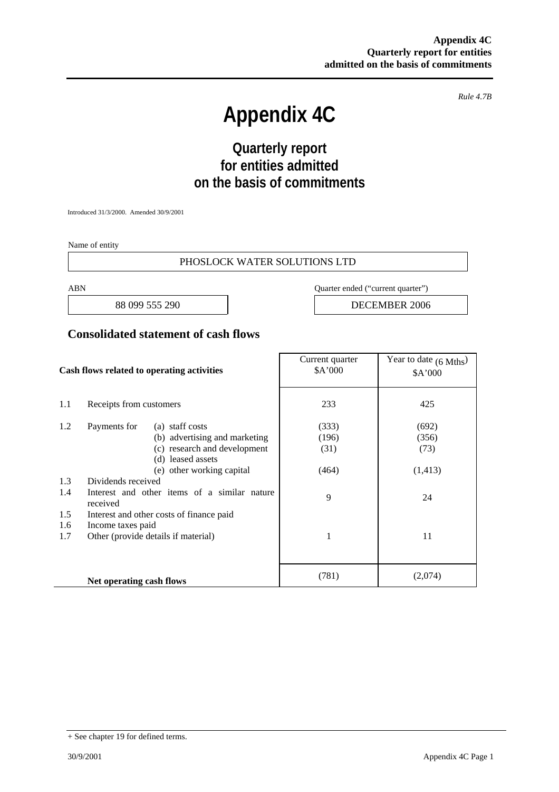*Rule 4.7B* 

# **Appendix 4C**

# **Quarterly report for entities admitted on the basis of commitments**

Introduced 31/3/2000. Amended 30/9/2001

Name of entity

#### PHOSLOCK WATER SOLUTIONS LTD

ABN Quarter ended ("current quarter")

88 099 555 290 **DECEMBER** 2006

#### **Consolidated statement of cash flows**

| Cash flows related to operating activities |                                                          | Current quarter<br>\$A'000 | Year to date $(6 \text{ Mths})$<br>\$A'000 |
|--------------------------------------------|----------------------------------------------------------|----------------------------|--------------------------------------------|
| 1.1                                        | Receipts from customers                                  | 233                        | 425                                        |
| 1.2                                        | Payments for<br>(a) staff costs                          | (333)                      | (692)                                      |
|                                            | (b) advertising and marketing                            | (196)                      | (356)                                      |
|                                            | (c) research and development                             | (31)                       | (73)                                       |
|                                            | (d) leased assets                                        |                            |                                            |
|                                            | (e) other working capital                                | (464)                      | (1, 413)                                   |
| 1.3                                        | Dividends received                                       |                            |                                            |
| 1.4                                        | Interest and other items of a similar nature<br>received | 9                          | 24                                         |
| 1.5                                        | Interest and other costs of finance paid                 |                            |                                            |
| 1.6                                        | Income taxes paid                                        |                            |                                            |
| 1.7                                        | Other (provide details if material)                      | 1                          | 11                                         |
|                                            |                                                          |                            |                                            |
|                                            | Net operating cash flows                                 | (781)                      | (2,074)                                    |

<sup>+</sup> See chapter 19 for defined terms.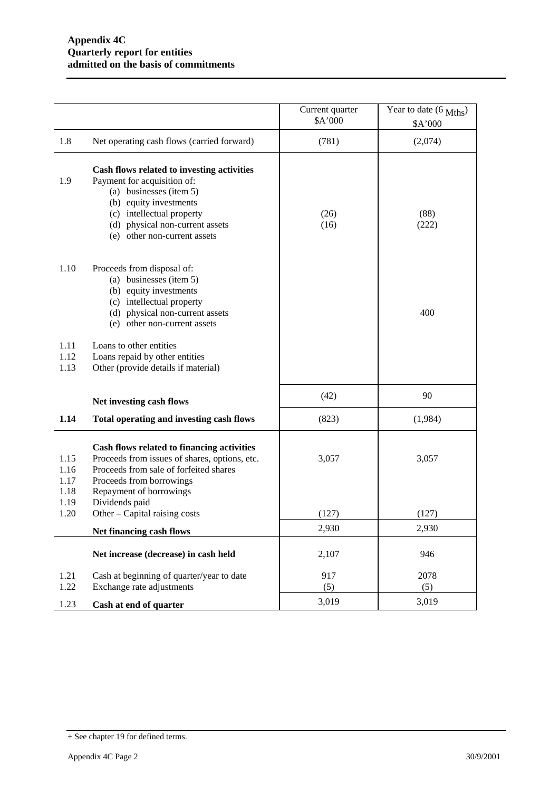|                              |                                                                                                                                                                                                                                | Current quarter<br>\$A'000 | Year to date (6 Mths)<br>\$A'000 |
|------------------------------|--------------------------------------------------------------------------------------------------------------------------------------------------------------------------------------------------------------------------------|----------------------------|----------------------------------|
| 1.8                          | Net operating cash flows (carried forward)                                                                                                                                                                                     | (781)                      | (2,074)                          |
| 1.9                          | Cash flows related to investing activities<br>Payment for acquisition of:<br>(a) businesses (item 5)<br>(b) equity investments<br>(c) intellectual property<br>(d) physical non-current assets<br>(e) other non-current assets | (26)<br>(16)               | (88)<br>(222)                    |
| 1.10                         | Proceeds from disposal of:<br>(a) businesses (item 5)<br>(b) equity investments<br>(c) intellectual property<br>(d) physical non-current assets<br>(e) other non-current assets                                                |                            | 400                              |
| 1.11<br>1.12<br>1.13         | Loans to other entities<br>Loans repaid by other entities<br>Other (provide details if material)                                                                                                                               |                            |                                  |
|                              | Net investing cash flows                                                                                                                                                                                                       | (42)                       | 90                               |
| 1.14                         | Total operating and investing cash flows                                                                                                                                                                                       | (823)                      | (1,984)                          |
| 1.15<br>1.16<br>1.17<br>1.18 | Cash flows related to financing activities<br>Proceeds from issues of shares, options, etc.<br>Proceeds from sale of forfeited shares<br>Proceeds from borrowings<br>Repayment of borrowings                                   | 3,057                      | 3,057                            |
| 1.19<br>1.20                 | Dividends paid<br>Other – Capital raising costs                                                                                                                                                                                | (127)                      | (127)                            |
|                              | Net financing cash flows                                                                                                                                                                                                       | 2,930                      | 2,930                            |
|                              | Net increase (decrease) in cash held                                                                                                                                                                                           | 2,107                      | 946                              |
| 1.21<br>1.22                 | Cash at beginning of quarter/year to date<br>Exchange rate adjustments                                                                                                                                                         | 917<br>(5)                 | 2078<br>(5)                      |
| 1.23                         | Cash at end of quarter                                                                                                                                                                                                         | 3,019                      | 3,019                            |

<sup>+</sup> See chapter 19 for defined terms.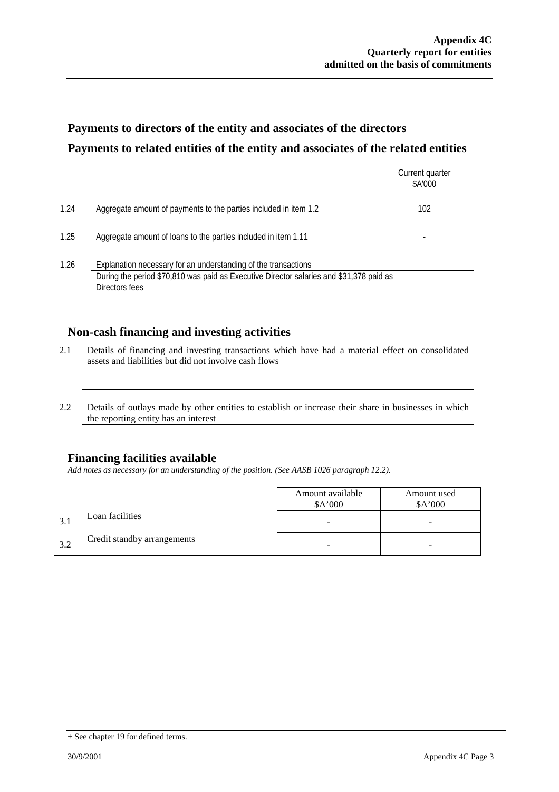# **Payments to directors of the entity and associates of the directors Payments to related entities of the entity and associates of the related entities**

|      |                                                                                                                                                           | Current quarter<br>\$A'000 |
|------|-----------------------------------------------------------------------------------------------------------------------------------------------------------|----------------------------|
| 1.24 | Aggregate amount of payments to the parties included in item 1.2                                                                                          | 102                        |
| 1.25 | Aggregate amount of loans to the parties included in item 1.11                                                                                            |                            |
| 1.26 | Explanation necessary for an understanding of the transactions<br>During the period \$70,810 was paid as Executive Director salaries and \$31,378 paid as |                            |

### **Non-cash financing and investing activities**

- 2.1 Details of financing and investing transactions which have had a material effect on consolidated assets and liabilities but did not involve cash flows
- 2.2 Details of outlays made by other entities to establish or increase their share in businesses in which the reporting entity has an interest

### **Financing facilities available**

Directors fees

*Add notes as necessary for an understanding of the position. (See AASB 1026 paragraph 12.2).* 

|    |                             | Amount available<br>A'000 | Amount used<br>\$A'000 |
|----|-----------------------------|---------------------------|------------------------|
|    | Loan facilities             |                           | -                      |
| 32 | Credit standby arrangements |                           | -                      |

<sup>+</sup> See chapter 19 for defined terms.